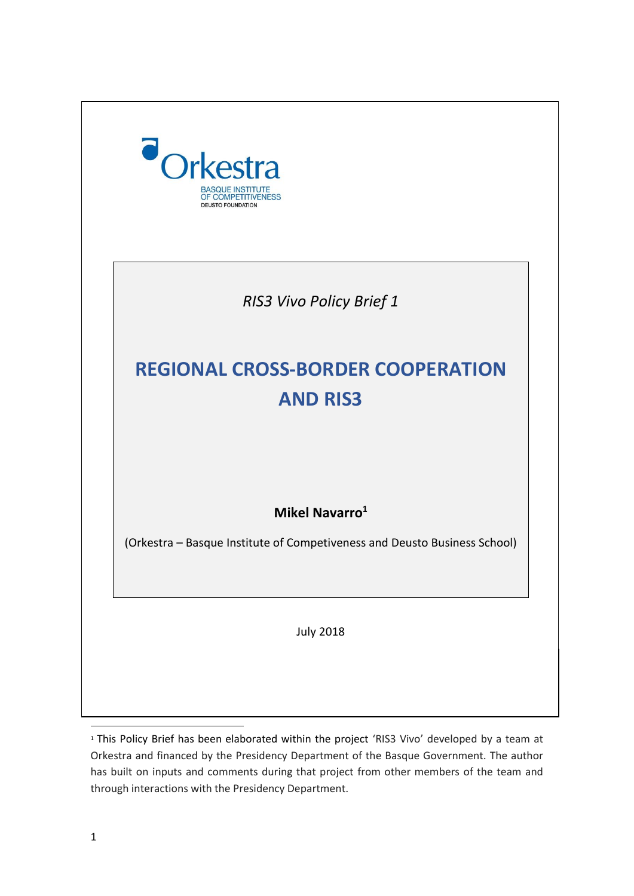

<sup>&</sup>lt;sup>1</sup> This Policy Brief has been elaborated within the project 'RIS3 Vivo' developed by a team at Orkestra and financed by the Presidency Department of the Basque Government. The author has built on inputs and comments during that project from other members of the team and through interactions with the Presidency Department.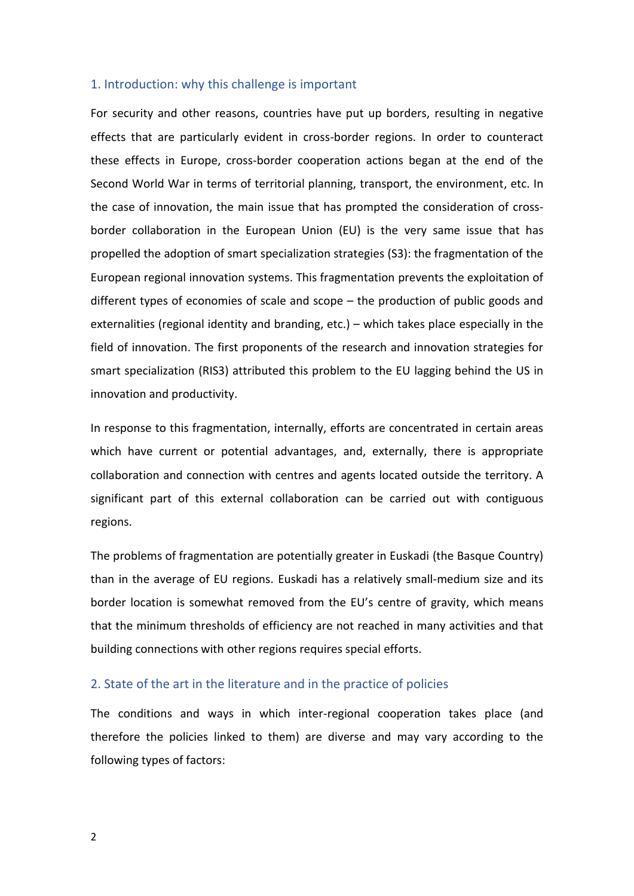## 1. Introduction: why this challenge is important

For security and other reasons, countries have put up borders, resulting in negative effects that are particularly evident in cross-border regions. In order to counteract these effects in Europe, cross-border cooperation actions began at the end of the Second World War in terms of territorial planning, transport, the environment, etc. In the case of innovation, the main issue that has prompted the consideration of crossborder collaboration in the European Union (EU) is the very same issue that has propelled the adoption of smart specialization strategies (S3): the fragmentation of the European regional innovation systems. This fragmentation prevents the exploitation of different types of economies of scale and scope – the production of public goods and externalities (regional identity and branding, etc.) – which takes place especially in the field of innovation. The first proponents of the research and innovation strategies for smart specialization (RIS3) attributed this problem to the EU lagging behind the US in innovation and productivity.

In response to this fragmentation, internally, efforts are concentrated in certain areas which have current or potential advantages, and, externally, there is appropriate collaboration and connection with centres and agents located outside the territory. A significant part of this external collaboration can be carried out with contiguous regions.

The problems of fragmentation are potentially greater in Euskadi (the Basque Country) than in the average of EU regions. Euskadi has a relatively small-medium size and its border location is somewhat removed from the EU's centre of gravity, which means that the minimum thresholds of efficiency are not reached in many activities and that building connections with other regions requires special efforts.

### 2. State of the art in the literature and in the practice of policies

The conditions and ways in which inter-regional cooperation takes place (and therefore the policies linked to them) are diverse and may vary according to the following types of factors: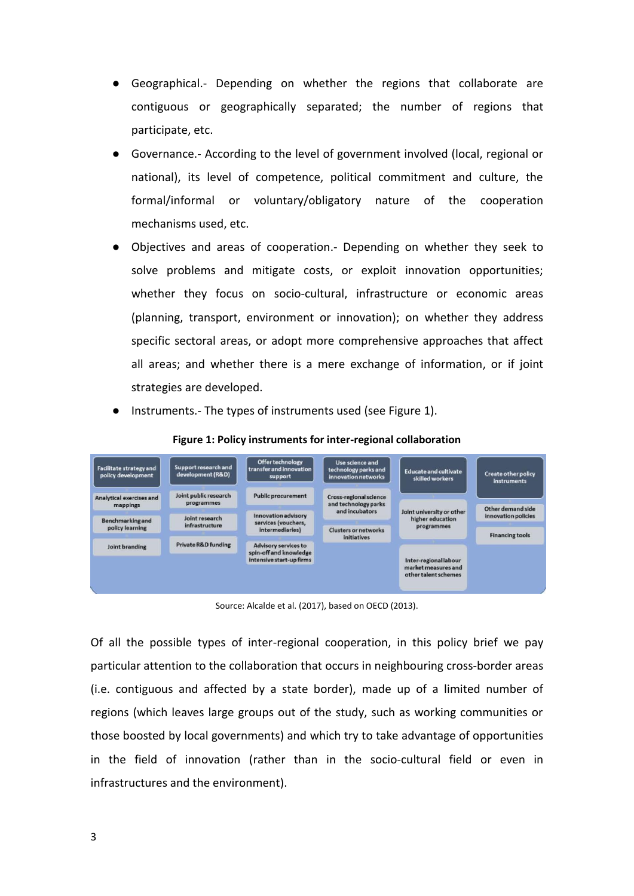- Geographical.- Depending on whether the regions that collaborate are contiguous or geographically separated; the number of regions that participate, etc.
- Governance.- According to the level of government involved (local, regional or national), its level of competence, political commitment and culture, the formal/informal or voluntary/obligatory nature of the cooperation mechanisms used, etc.
- Objectives and areas of cooperation.- Depending on whether they seek to solve problems and mitigate costs, or exploit innovation opportunities; whether they focus on socio-cultural, infrastructure or economic areas (planning, transport, environment or innovation); on whether they address specific sectoral areas, or adopt more comprehensive approaches that affect all areas; and whether there is a mere exchange of information, or if joint strategies are developed.
- Instruments.- The types of instruments used (see Figure 1).



**Figure 1: Policy instruments for inter-regional collaboration**

Source: Alcalde et al. (2017), based on OECD (2013).

Of all the possible types of inter-regional cooperation, in this policy brief we pay particular attention to the collaboration that occurs in neighbouring cross-border areas (i.e. contiguous and affected by a state border), made up of a limited number of regions (which leaves large groups out of the study, such as working communities or those boosted by local governments) and which try to take advantage of opportunities in the field of innovation (rather than in the socio-cultural field or even in infrastructures and the environment).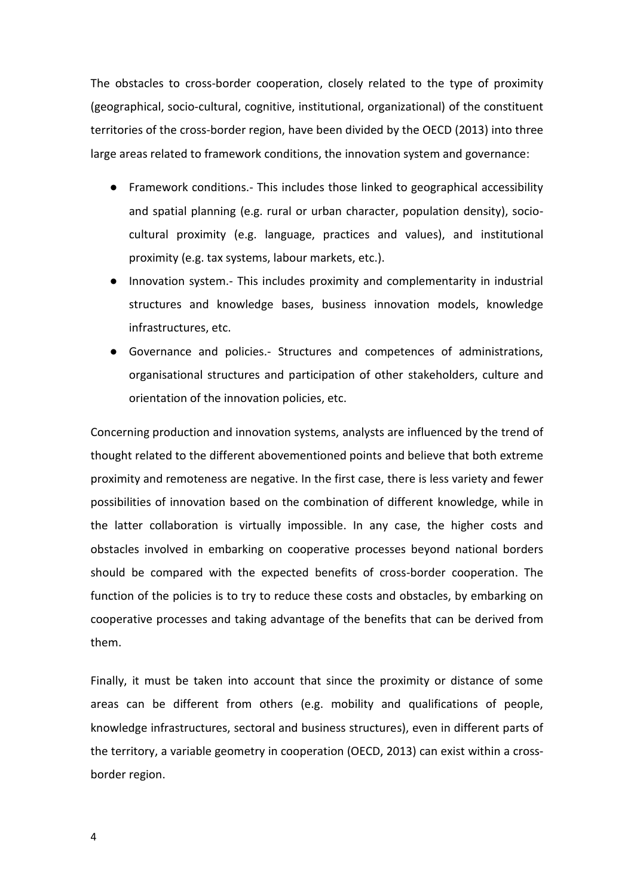The obstacles to cross-border cooperation, closely related to the type of proximity (geographical, socio-cultural, cognitive, institutional, organizational) of the constituent territories of the cross-border region, have been divided by the OECD (2013) into three large areas related to framework conditions, the innovation system and governance:

- Framework conditions.- This includes those linked to geographical accessibility and spatial planning (e.g. rural or urban character, population density), sociocultural proximity (e.g. language, practices and values), and institutional proximity (e.g. tax systems, labour markets, etc.).
- Innovation system.- This includes proximity and complementarity in industrial structures and knowledge bases, business innovation models, knowledge infrastructures, etc.
- Governance and policies.- Structures and competences of administrations, organisational structures and participation of other stakeholders, culture and orientation of the innovation policies, etc.

Concerning production and innovation systems, analysts are influenced by the trend of thought related to the different abovementioned points and believe that both extreme proximity and remoteness are negative. In the first case, there is less variety and fewer possibilities of innovation based on the combination of different knowledge, while in the latter collaboration is virtually impossible. In any case, the higher costs and obstacles involved in embarking on cooperative processes beyond national borders should be compared with the expected benefits of cross-border cooperation. The function of the policies is to try to reduce these costs and obstacles, by embarking on cooperative processes and taking advantage of the benefits that can be derived from them.

Finally, it must be taken into account that since the proximity or distance of some areas can be different from others (e.g. mobility and qualifications of people, knowledge infrastructures, sectoral and business structures), even in different parts of the territory, a variable geometry in cooperation (OECD, 2013) can exist within a crossborder region.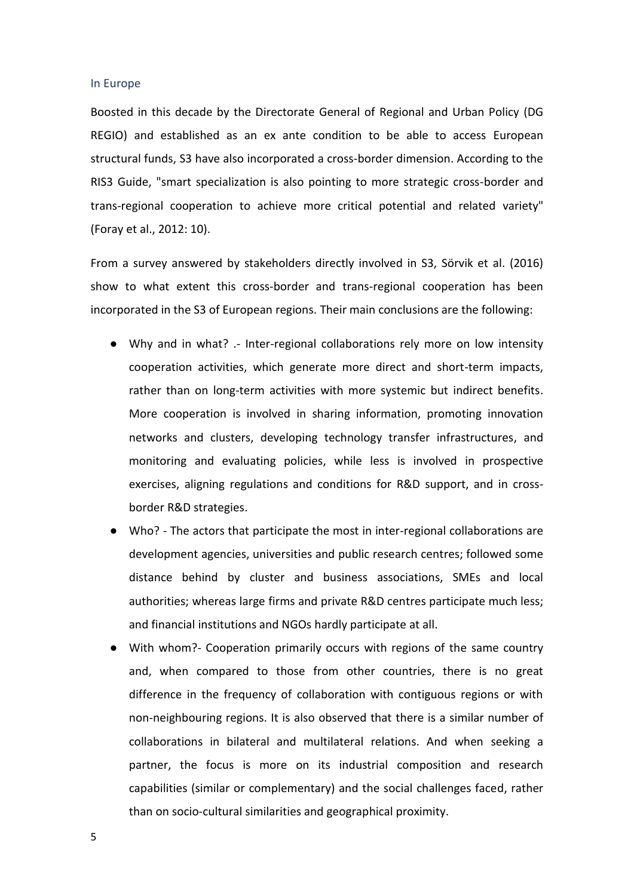#### In Europe

Boosted in this decade by the Directorate General of Regional and Urban Policy (DG REGIO) and established as an ex ante condition to be able to access European structural funds, S3 have also incorporated a cross-border dimension. According to the RIS3 Guide, "smart specialization is also pointing to more strategic cross-border and trans-regional cooperation to achieve more critical potential and related variety" (Foray et al., 2012: 10).

From a survey answered by stakeholders directly involved in S3, Sörvik et al. (2016) show to what extent this cross-border and trans-regional cooperation has been incorporated in the S3 of European regions. Their main conclusions are the following:

- Why and in what? .- Inter-regional collaborations rely more on low intensity cooperation activities, which generate more direct and short-term impacts, rather than on long-term activities with more systemic but indirect benefits. More cooperation is involved in sharing information, promoting innovation networks and clusters, developing technology transfer infrastructures, and monitoring and evaluating policies, while less is involved in prospective exercises, aligning regulations and conditions for R&D support, and in crossborder R&D strategies.
- Who? The actors that participate the most in inter-regional collaborations are development agencies, universities and public research centres; followed some distance behind by cluster and business associations, SMEs and local authorities; whereas large firms and private R&D centres participate much less; and financial institutions and NGOs hardly participate at all.
- With whom?- Cooperation primarily occurs with regions of the same country and, when compared to those from other countries, there is no great difference in the frequency of collaboration with contiguous regions or with non-neighbouring regions. It is also observed that there is a similar number of collaborations in bilateral and multilateral relations. And when seeking a partner, the focus is more on its industrial composition and research capabilities (similar or complementary) and the social challenges faced, rather than on socio-cultural similarities and geographical proximity.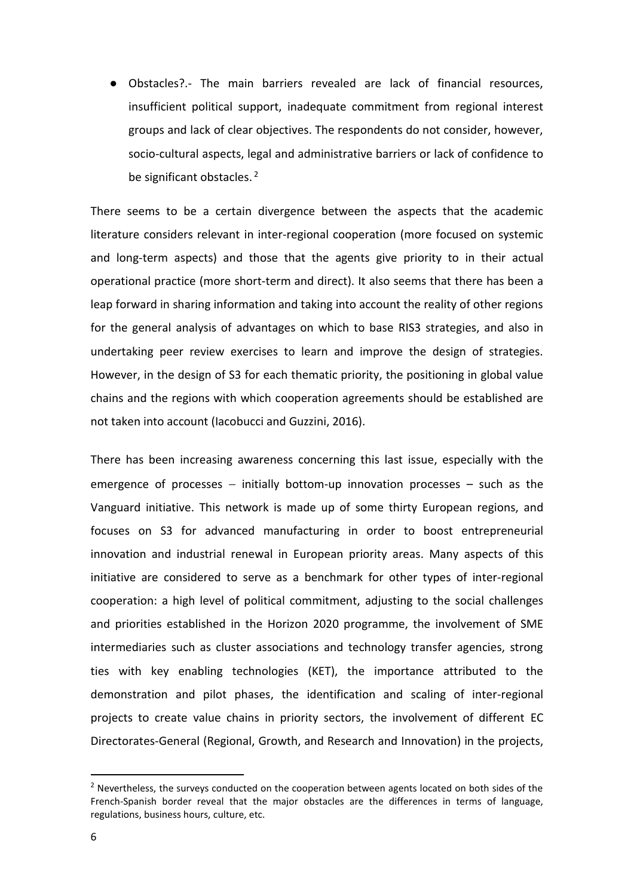● Obstacles?.- The main barriers revealed are lack of financial resources, insufficient political support, inadequate commitment from regional interest groups and lack of clear objectives. The respondents do not consider, however, socio-cultural aspects, legal and administrative barriers or lack of confidence to be significant obstacles.<sup>2</sup>

There seems to be a certain divergence between the aspects that the academic literature considers relevant in inter-regional cooperation (more focused on systemic and long-term aspects) and those that the agents give priority to in their actual operational practice (more short-term and direct). It also seems that there has been a leap forward in sharing information and taking into account the reality of other regions for the general analysis of advantages on which to base RIS3 strategies, and also in undertaking peer review exercises to learn and improve the design of strategies. However, in the design of S3 for each thematic priority, the positioning in global value chains and the regions with which cooperation agreements should be established are not taken into account (Iacobucci and Guzzini, 2016).

There has been increasing awareness concerning this last issue, especially with the emergence of processes – initially bottom-up innovation processes – such as the Vanguard initiative. This network is made up of some thirty European regions, and focuses on S3 for advanced manufacturing in order to boost entrepreneurial innovation and industrial renewal in European priority areas. Many aspects of this initiative are considered to serve as a benchmark for other types of inter-regional cooperation: a high level of political commitment, adjusting to the social challenges and priorities established in the Horizon 2020 programme, the involvement of SME intermediaries such as cluster associations and technology transfer agencies, strong ties with key enabling technologies (KET), the importance attributed to the demonstration and pilot phases, the identification and scaling of inter-regional projects to create value chains in priority sectors, the involvement of different EC Directorates-General (Regional, Growth, and Research and Innovation) in the projects,

**.** 

 $<sup>2</sup>$  Nevertheless, the surveys conducted on the cooperation between agents located on both sides of the</sup> French-Spanish border reveal that the major obstacles are the differences in terms of language, regulations, business hours, culture, etc.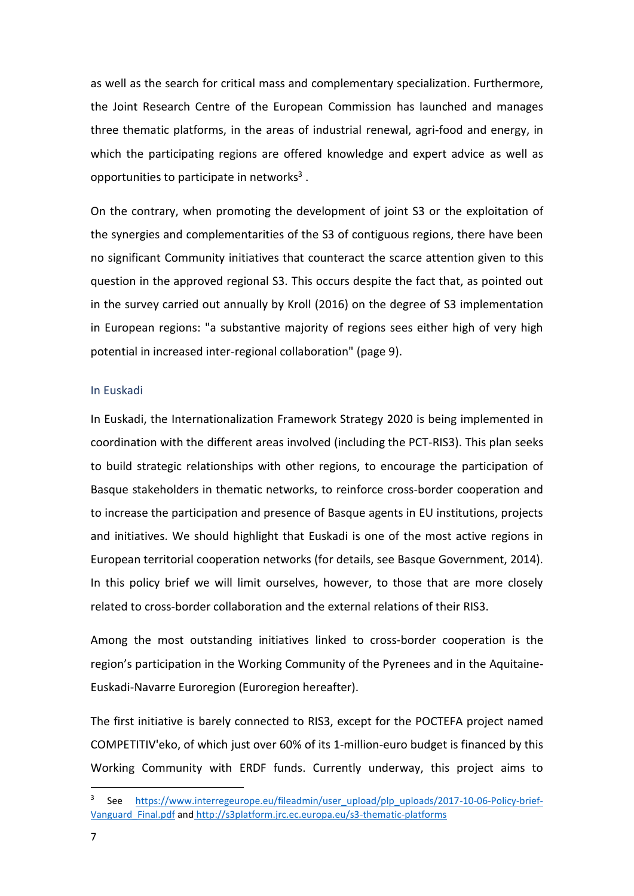as well as the search for critical mass and complementary specialization. Furthermore, the Joint Research Centre of the European Commission has launched and manages three thematic platforms, in the areas of industrial renewal, agri-food and energy, in which the participating regions are offered knowledge and expert advice as well as opportunities to participate in networks<sup>3</sup>.

On the contrary, when promoting the development of joint S3 or the exploitation of the synergies and complementarities of the S3 of contiguous regions, there have been no significant Community initiatives that counteract the scarce attention given to this question in the approved regional S3. This occurs despite the fact that, as pointed out in the survey carried out annually by Kroll (2016) on the degree of S3 implementation in European regions: "a substantive majority of regions sees either high of very high potential in increased inter-regional collaboration" (page 9).

## In Euskadi

In Euskadi, the Internationalization Framework Strategy 2020 is being implemented in coordination with the different areas involved (including the PCT-RIS3). This plan seeks to build strategic relationships with other regions, to encourage the participation of Basque stakeholders in thematic networks, to reinforce cross-border cooperation and to increase the participation and presence of Basque agents in EU institutions, projects and initiatives. We should highlight that Euskadi is one of the most active regions in European territorial cooperation networks (for details, see Basque Government, 2014). In this policy brief we will limit ourselves, however, to those that are more closely related to cross-border collaboration and the external relations of their RIS3.

Among the most outstanding initiatives linked to cross-border cooperation is the region's participation in the Working Community of the Pyrenees and in the Aquitaine-Euskadi-Navarre Euroregion (Euroregion hereafter).

The first initiative is barely connected to RIS3, except for the POCTEFA project named COMPETITIV'eko, of which just over 60% of its 1-million-euro budget is financed by this Working Community with ERDF funds. Currently underway, this project aims to

 $\overline{a}$ 

<sup>3</sup> See [https://www.interregeurope.eu/fileadmin/user\\_upload/plp\\_uploads/2017-10-06-Policy-brief-](https://www.interregeurope.eu/fileadmin/user_upload/plp_uploads/2017-10-06-Policy-brief-Vanguard_Final.pdf)[Vanguard\\_Final.pdf](https://www.interregeurope.eu/fileadmin/user_upload/plp_uploads/2017-10-06-Policy-brief-Vanguard_Final.pdf) and <http://s3platform.jrc.ec.europa.eu/s3-thematic-platforms>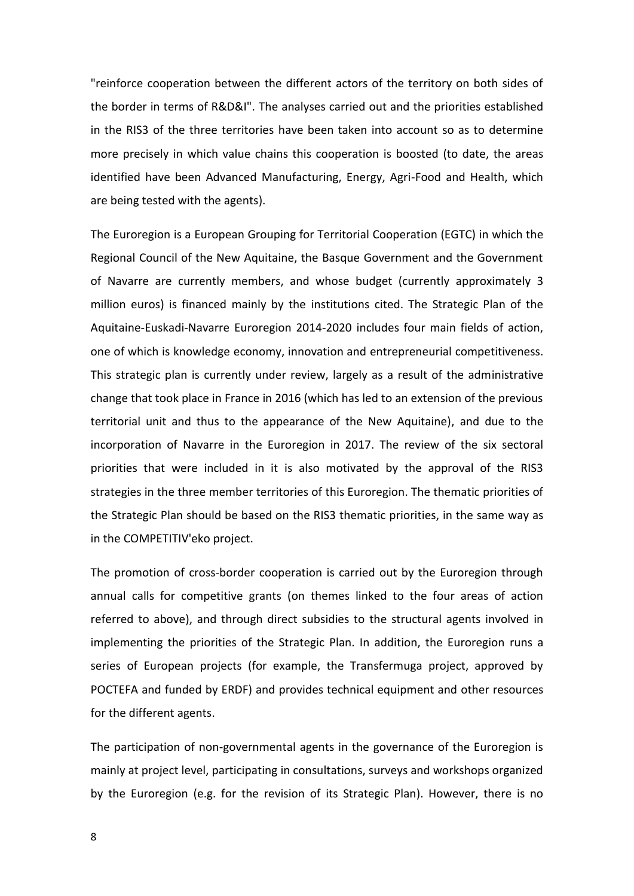"reinforce cooperation between the different actors of the territory on both sides of the border in terms of R&D&I". The analyses carried out and the priorities established in the RIS3 of the three territories have been taken into account so as to determine more precisely in which value chains this cooperation is boosted (to date, the areas identified have been Advanced Manufacturing, Energy, Agri-Food and Health, which are being tested with the agents).

The Euroregion is a European Grouping for Territorial Cooperation (EGTC) in which the Regional Council of the New Aquitaine, the Basque Government and the Government of Navarre are currently members, and whose budget (currently approximately 3 million euros) is financed mainly by the institutions cited. The Strategic Plan of the Aquitaine-Euskadi-Navarre Euroregion 2014-2020 includes four main fields of action, one of which is knowledge economy, innovation and entrepreneurial competitiveness. This strategic plan is currently under review, largely as a result of the administrative change that took place in France in 2016 (which has led to an extension of the previous territorial unit and thus to the appearance of the New Aquitaine), and due to the incorporation of Navarre in the Euroregion in 2017. The review of the six sectoral priorities that were included in it is also motivated by the approval of the RIS3 strategies in the three member territories of this Euroregion. The thematic priorities of the Strategic Plan should be based on the RIS3 thematic priorities, in the same way as in the COMPETITIV'eko project.

The promotion of cross-border cooperation is carried out by the Euroregion through annual calls for competitive grants (on themes linked to the four areas of action referred to above), and through direct subsidies to the structural agents involved in implementing the priorities of the Strategic Plan. In addition, the Euroregion runs a series of European projects (for example, the Transfermuga project, approved by POCTEFA and funded by ERDF) and provides technical equipment and other resources for the different agents.

The participation of non-governmental agents in the governance of the Euroregion is mainly at project level, participating in consultations, surveys and workshops organized by the Euroregion (e.g. for the revision of its Strategic Plan). However, there is no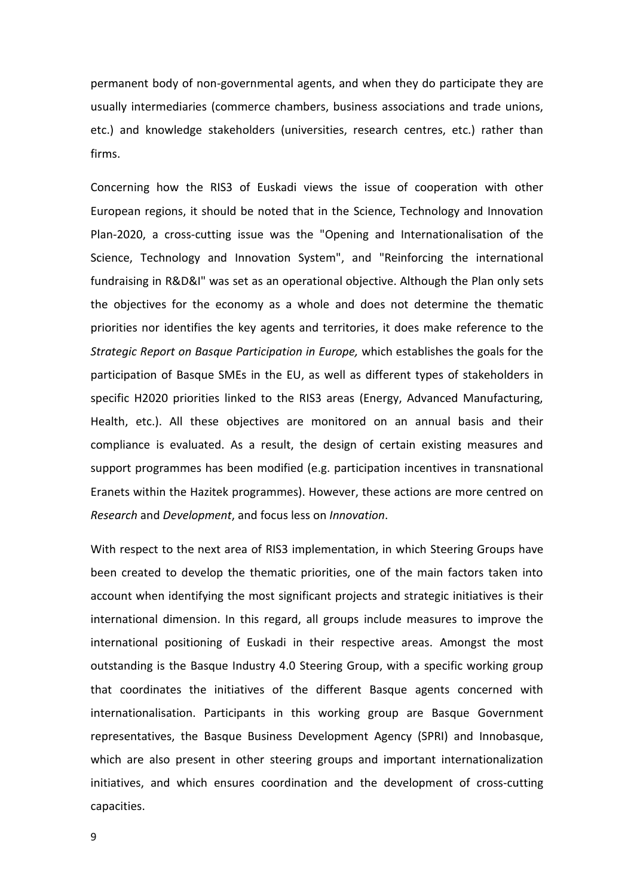permanent body of non-governmental agents, and when they do participate they are usually intermediaries (commerce chambers, business associations and trade unions, etc.) and knowledge stakeholders (universities, research centres, etc.) rather than firms.

Concerning how the RIS3 of Euskadi views the issue of cooperation with other European regions, it should be noted that in the Science, Technology and Innovation Plan-2020, a cross-cutting issue was the "Opening and Internationalisation of the Science, Technology and Innovation System", and "Reinforcing the international fundraising in R&D&I" was set as an operational objective. Although the Plan only sets the objectives for the economy as a whole and does not determine the thematic priorities nor identifies the key agents and territories, it does make reference to the *Strategic Report on Basque Participation in Europe,* which establishes the goals for the participation of Basque SMEs in the EU, as well as different types of stakeholders in specific H2020 priorities linked to the RIS3 areas (Energy, Advanced Manufacturing, Health, etc.). All these objectives are monitored on an annual basis and their compliance is evaluated. As a result, the design of certain existing measures and support programmes has been modified (e.g. participation incentives in transnational Eranets within the Hazitek programmes). However, these actions are more centred on *Research* and *Development*, and focus less on *Innovation*.

With respect to the next area of RIS3 implementation, in which Steering Groups have been created to develop the thematic priorities, one of the main factors taken into account when identifying the most significant projects and strategic initiatives is their international dimension. In this regard, all groups include measures to improve the international positioning of Euskadi in their respective areas. Amongst the most outstanding is the Basque Industry 4.0 Steering Group, with a specific working group that coordinates the initiatives of the different Basque agents concerned with internationalisation. Participants in this working group are Basque Government representatives, the Basque Business Development Agency (SPRI) and Innobasque, which are also present in other steering groups and important internationalization initiatives, and which ensures coordination and the development of cross-cutting capacities.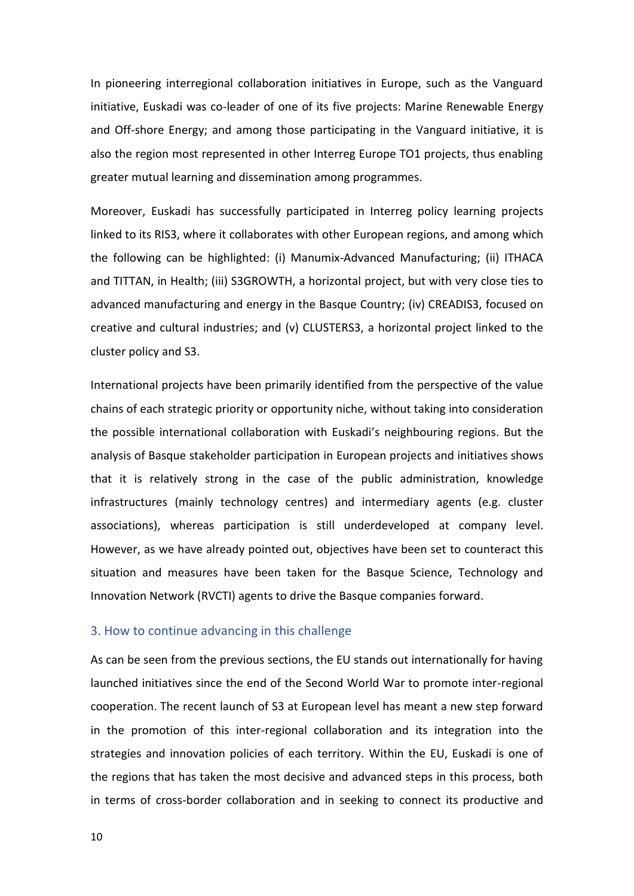In pioneering interregional collaboration initiatives in Europe, such as the Vanguard initiative, Euskadi was co-leader of one of its five projects: Marine Renewable Energy and Off-shore Energy; and among those participating in the Vanguard initiative, it is also the region most represented in other Interreg Europe TO1 projects, thus enabling greater mutual learning and dissemination among programmes.

Moreover, Euskadi has successfully participated in Interreg policy learning projects linked to its RIS3, where it collaborates with other European regions, and among which the following can be highlighted: (i) Manumix-Advanced Manufacturing; (ii) ITHACA and TITTAN, in Health; (iii) S3GROWTH, a horizontal project, but with very close ties to advanced manufacturing and energy in the Basque Country; (iv) CREADIS3, focused on creative and cultural industries; and (v) CLUSTERS3, a horizontal project linked to the cluster policy and S3.

International projects have been primarily identified from the perspective of the value chains of each strategic priority or opportunity niche, without taking into consideration the possible international collaboration with Euskadi's neighbouring regions. But the analysis of Basque stakeholder participation in European projects and initiatives shows that it is relatively strong in the case of the public administration, knowledge infrastructures (mainly technology centres) and intermediary agents (e.g. cluster associations), whereas participation is still underdeveloped at company level. However, as we have already pointed out, objectives have been set to counteract this situation and measures have been taken for the Basque Science, Technology and Innovation Network (RVCTI) agents to drive the Basque companies forward.

# 3. How to continue advancing in this challenge

As can be seen from the previous sections, the EU stands out internationally for having launched initiatives since the end of the Second World War to promote inter-regional cooperation. The recent launch of S3 at European level has meant a new step forward in the promotion of this inter-regional collaboration and its integration into the strategies and innovation policies of each territory. Within the EU, Euskadi is one of the regions that has taken the most decisive and advanced steps in this process, both in terms of cross-border collaboration and in seeking to connect its productive and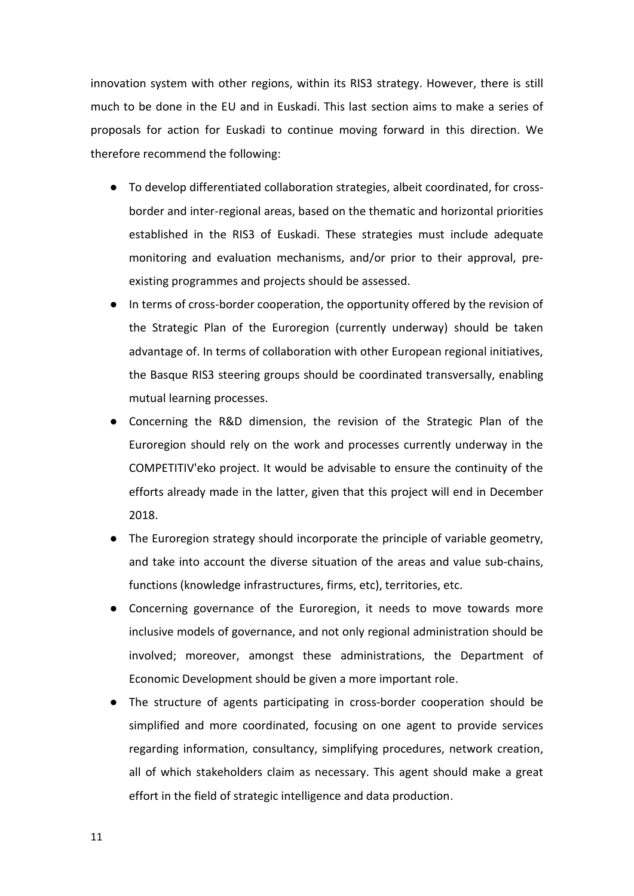innovation system with other regions, within its RIS3 strategy. However, there is still much to be done in the EU and in Euskadi. This last section aims to make a series of proposals for action for Euskadi to continue moving forward in this direction. We therefore recommend the following:

- To develop differentiated collaboration strategies, albeit coordinated, for crossborder and inter-regional areas, based on the thematic and horizontal priorities established in the RIS3 of Euskadi. These strategies must include adequate monitoring and evaluation mechanisms, and/or prior to their approval, preexisting programmes and projects should be assessed.
- In terms of cross-border cooperation, the opportunity offered by the revision of the Strategic Plan of the Euroregion (currently underway) should be taken advantage of. In terms of collaboration with other European regional initiatives, the Basque RIS3 steering groups should be coordinated transversally, enabling mutual learning processes.
- Concerning the R&D dimension, the revision of the Strategic Plan of the Euroregion should rely on the work and processes currently underway in the COMPETITIV'eko project. It would be advisable to ensure the continuity of the efforts already made in the latter, given that this project will end in December 2018.
- The Euroregion strategy should incorporate the principle of variable geometry, and take into account the diverse situation of the areas and value sub-chains, functions (knowledge infrastructures, firms, etc), territories, etc.
- Concerning governance of the Euroregion, it needs to move towards more inclusive models of governance, and not only regional administration should be involved; moreover, amongst these administrations, the Department of Economic Development should be given a more important role.
- The structure of agents participating in cross-border cooperation should be simplified and more coordinated, focusing on one agent to provide services regarding information, consultancy, simplifying procedures, network creation, all of which stakeholders claim as necessary. This agent should make a great effort in the field of strategic intelligence and data production.